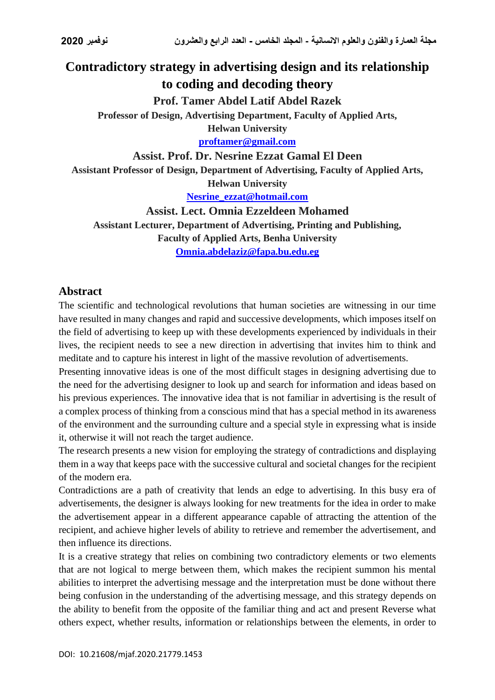## **Contradictory strategy in advertising design and its relationship to coding and decoding theory**

**Prof. Tamer Abdel Latif Abdel Razek**

**Professor of Design, Advertising Department, Faculty of Applied Arts,**

**Helwan University [proftamer@gmail.com](mailto:proftamer@gmail.com)**

**Assist. Prof. Dr. Nesrine Ezzat Gamal El Deen**

**Assistant Professor of Design, Department of Advertising, Faculty of Applied Arts,** 

**Helwan University**

**[Nesrine\\_ezzat@hotmail.com](mailto:Nesrine_ezzat@hotmail.com)**

**Assist. Lect. Omnia Ezzeldeen Mohamed Assistant Lecturer, Department of Advertising, Printing and Publishing, Faculty of Applied Arts, Benha University [Omnia.abdelaziz@fapa.bu.edu.eg](mailto:Omnia.abdelaziz@fapa.bu.edu.eg)**

## **Abstract**

The scientific and technological revolutions that human societies are witnessing in our time have resulted in many changes and rapid and successive developments, which imposes itself on the field of advertising to keep up with these developments experienced by individuals in their lives, the recipient needs to see a new direction in advertising that invites him to think and meditate and to capture his interest in light of the massive revolution of advertisements.

Presenting innovative ideas is one of the most difficult stages in designing advertising due to the need for the advertising designer to look up and search for information and ideas based on his previous experiences. The innovative idea that is not familiar in advertising is the result of a complex process of thinking from a conscious mind that has a special method in its awareness of the environment and the surrounding culture and a special style in expressing what is inside it, otherwise it will not reach the target audience.

The research presents a new vision for employing the strategy of contradictions and displaying them in a way that keeps pace with the successive cultural and societal changes for the recipient of the modern era.

Contradictions are a path of creativity that lends an edge to advertising. In this busy era of advertisements, the designer is always looking for new treatments for the idea in order to make the advertisement appear in a different appearance capable of attracting the attention of the recipient, and achieve higher levels of ability to retrieve and remember the advertisement, and then influence its directions.

It is a creative strategy that relies on combining two contradictory elements or two elements that are not logical to merge between them, which makes the recipient summon his mental abilities to interpret the advertising message and the interpretation must be done without there being confusion in the understanding of the advertising message, and this strategy depends on the ability to benefit from the opposite of the familiar thing and act and present Reverse what others expect, whether results, information or relationships between the elements, in order to